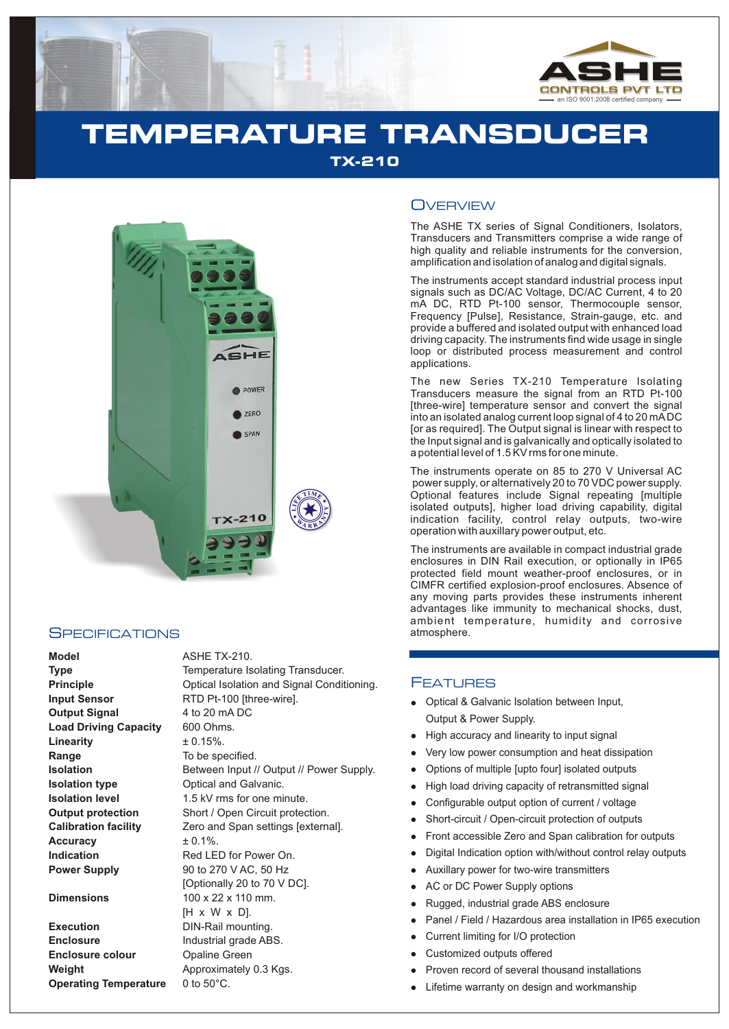

## **TEMPERATURE TRANSDUCER TX-210**



#### **SPECIFICATIONS**

**Execution Enclosure Enclosure colour Weight Operating Temperature** 0 to 50°C.

| AONE TA-ZIU.                              |
|-------------------------------------------|
| Temperature Isolating Transducer.         |
| Optical Isolation and Signal Conditioning |
| RTD Pt-100 [three-wire].                  |
| 4 to 20 mA DC                             |
| 600 Ohms.                                 |
| $\pm 0.15\%$ .                            |
| To be specified.                          |
| Between Input // Output // Power Supply.  |
| Optical and Galvanic.                     |
| 1.5 kV rms for one minute.                |
| Short / Open Circuit protection.          |
| Zero and Span settings [external].        |
| $± 0.1\%$ .                               |
| Red LED for Power On.                     |
| 90 to 270 V AC, 50 Hz                     |
| [Optionally 20 to 70 V DC].               |
| 100 x 22 x 110 mm.                        |
| $[H \times W \times D]$ .                 |
| DIN-Rail mounting.                        |
| Industrial grade ABS.                     |
| <b>Opaline Green</b>                      |
| Approximately 0.3 Kgs.                    |
|                                           |

### **OVERVIEW**

The ASHE TX series of Signal Conditioners, Isolators, Transducers and Transmitters comprise a wide range of high quality and reliable instruments for the conversion, amplification and isolation of analog and digital signals.

The instruments accept standard industrial process input signals such as DC/AC Voltage, DC/AC Current, 4 to 20 mA DC, RTD Pt-100 sensor, Thermocouple sensor, Frequency [Pulse], Resistance, Strain-gauge, etc. and provide a buffered and isolated output with enhanced load driving capacity. The instruments find wide usage in single loop or distributed process measurement and control applications.

The new Series TX-210 Temperature Isolating Transducers measure the signal from an RTD Pt-100 [three-wire] temperature sensor and convert the signal into an isolated analog current loop signal of 4 to 20 mADC [or as required]. The Output signal is linear with respect to the Input signal and is galvanically and optically isolated to a potential level of 1.5 KV rms for one minute.

The instruments operate on 85 to 270 V Universal AC power supply, or alternatively 20 to 70 VDC power supply. Optional features include Signal repeating [multiple isolated outputs], higher load driving capability, digital indication facility, control relay outputs, two-wire operation with auxillary power output, etc.

The instruments are available in compact industrial grade enclosures in DIN Rail execution, or optionally in IP65 protected field mount weather-proof enclosures, or in CIMFR certified explosion-proof enclosures. Absence of any moving parts provides these instruments inherent advantages like immunity to mechanical shocks, dust, ambient temperature, humidity and corrosive atmosphere.

#### **FEATURES**

- Optical & Galvanic Isolation between Input, Output & Power Supply.
- High accuracy and linearity to input signal
- Very low power consumption and heat dissipation
- llight and High Show High Control High Control Show From Digit and Action Currence Currence Currence Currence Currence Currence Currence Currence Currence Currence Currence Currence Currence Currence Currence Currence Curr Options of multiple [upto four] isolated outputs
- High load driving capacity of retransmitted signal
- Configurable output option of current / voltage
- $\bullet$ Short-circuit / Open-circuit protection of outputs
- Front accessible Zero and Span calibration for outputs
- Digital Indication option with/without control relay outputs
- Auxillary power for two-wire transmitters
- AC or DC Power Supply options  $\bullet$
- Rugged, industrial grade ABS enclosure
- Panel / Field / Hazardous area installation in IP65 execution
- Current limiting for I/O protection
- Customized outputs offered
- Proven record of several thousand installations
- Lifetime warranty on design and workmanship